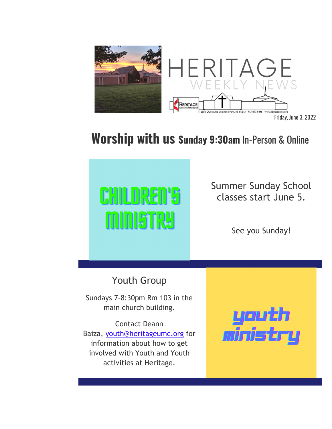

## **Worship with us Sunday 9:30am** In-Person & Online



Summer Sunday School classes start June 5.

See you Sunday!

Youth Group

Sundays 7-8:30pm Rm 103 in the main church building.

Contact Deann Baiza, youth@heritageumc.org for information about how to get involved with Youth and Youth activities at Heritage.

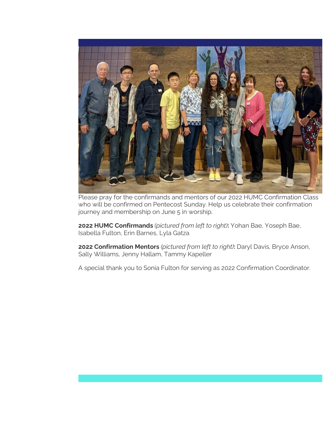

Please pray for the confirmands and mentors of our 2022 HUMC Confirmation Class who will be confirmed on Pentecost Sunday. Help us celebrate their confirmation journey and membership on June 5 in worship.

**2022 HUMC Confirmands** *(pictured from left to right)***:** Yohan Bae, Yoseph Bae, Isabella Fulton, Erin Barnes, Lyla Gatza

**2022 Confirmation Mentors** *(pictured from left to right)***:** Daryl Davis, Bryce Anson, Sally Williams, Jenny Hallam, Tammy Kapeller

A special thank you to Sonia Fulton for serving as 2022 Confirmation Coordinator.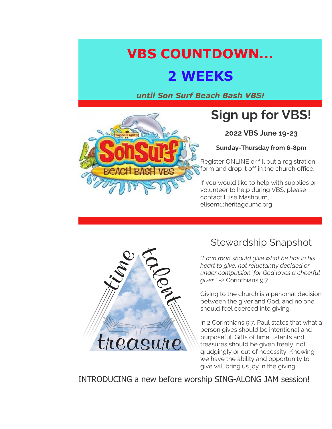## **VBS COUNTDOWN...**

### **2 WEEKS**

*until Son Surf Beach Bash VBS!*



## **Sign up for VBS!**

**2022 VBS June 19-23**

**Sunday-Thursday from 6-8pm**

Register ONLINE or fill out a registration form and drop it off in the church office.

If you would like to help with supplies or volunteer to help during VBS, please contact Elise Mashburn, elisem@heritageumc.org



### Stewardship Snapshot

*"Each man should give what he has in his heart to give, not reluctantly decided or under compulsion, for God loves a cheerful giver."* -2 Corinthians 9:7

Giving to the church is a personal decision between the giver and God, and no one should feel coerced into giving.

In 2 Corinthians 9:7, Paul states that what a person gives should be intentional and purposeful. Gifts of time, talents and treasures should be given freely, not grudgingly or out of necessity. Knowing we have the ability and opportunity to give will bring us joy in the giving.

INTRODUCING a new before worship SING-ALONG JAM session!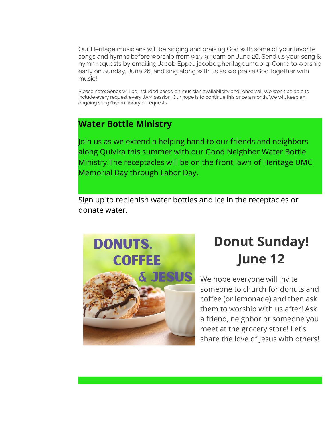Our Heritage musicians will be singing and praising God with some of your favorite songs and hymns before worship from 9:15-9:30am on June 26. Send us your song & hymn requests by emailing Jacob Eppel, jacobe@heritageumc.org. Come to worship early on Sunday, June 26, and sing along with us as we praise God together with music!

Please note: Songs will be included based on musician availabilbity and rehearsal. We won't be able to include every request every JAM session. Our hope is to continue this once a month. We will keep an ongoing song/hymn library of requests..

#### **Water Bottle Ministry**

Join us as we extend a helping hand to our friends and neighbors along Quivira this summer with our Good Neighbor Water Bottle Ministry.The receptacles will be on the front lawn of Heritage UMC Memorial Day through Labor Day.

Sign up to replenish water bottles and ice in the receptacles or donate water.



# **Donut Sunday! June 12**

We hope everyone will invite someone to church for donuts and coffee (or lemonade) and then ask them to worship with us after! Ask a friend, neighbor or someone you meet at the grocery store! Let's share the love of Jesus with others!